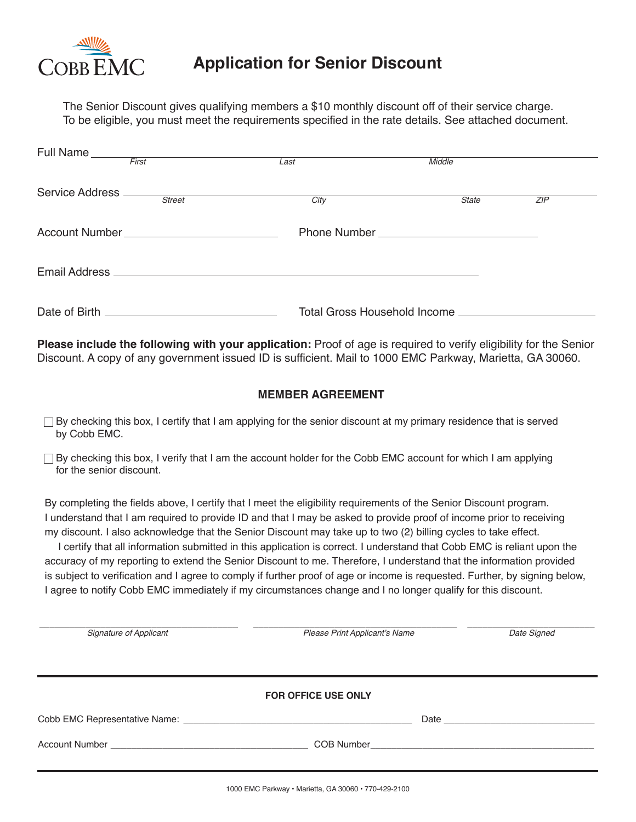

# **Application for Senior Discount**

The Senior Discount gives qualifying members a \$10 monthly discount off of their service charge. To be eligible, you must meet the requirements specified in the rate details. See attached document.

| Full Name                     | First | Last                                                                                                             | Middle       |     |
|-------------------------------|-------|------------------------------------------------------------------------------------------------------------------|--------------|-----|
| Service Address <u>Street</u> |       | Citv                                                                                                             | <b>State</b> | ZIP |
|                               |       |                                                                                                                  |              |     |
|                               |       |                                                                                                                  |              |     |
| Date of Birth                 |       | Total Gross Household Income Latin Management Control Control Control Control Control Control Control Control Co |              |     |

**Please include the following with your application:** Proof of age is required to verify eligibility for the Senior Discount. A copy of any government issued ID is sufficient. Mail to 1000 EMC Parkway, Marietta, GA 30060.

### **MEMBER AGREEMENT**

- $\Box$  By checking this box, I certify that I am applying for the senior discount at my primary residence that is served by Cobb EMC.
- $\Box$  By checking this box, I verify that I am the account holder for the Cobb EMC account for which I am applying for the senior discount.

By completing the fields above, I certify that I meet the eligibility requirements of the Senior Discount program. I understand that I am required to provide ID and that I may be asked to provide proof of income prior to receiving my discount. I also acknowledge that the Senior Discount may take up to two (2) billing cycles to take effect.

I certify that all information submitted in this application is correct. I understand that Cobb EMC is reliant upon the accuracy of my reporting to extend the Senior Discount to me. Therefore, I understand that the information provided is subject to verification and I agree to comply if further proof of age or income is requested. Further, by signing below, I agree to notify Cobb EMC immediately if my circumstances change and I no longer qualify for this discount.

| Signature of Applicant | Please Print Applicant's Name | Date Signed |
|------------------------|-------------------------------|-------------|
|                        |                               |             |
|                        | <b>FOR OFFICE USE ONLY</b>    |             |
|                        |                               |             |
|                        |                               |             |
|                        |                               |             |